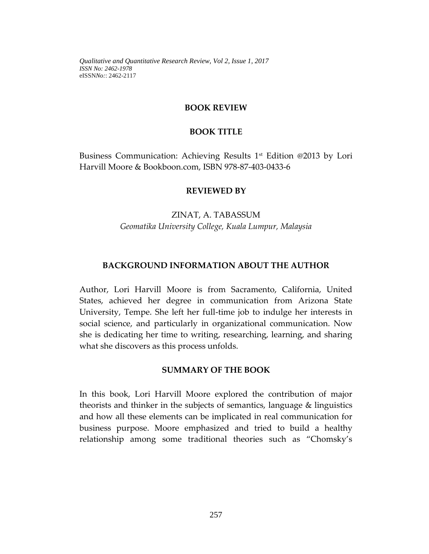#### **BOOK REVIEW**

#### **BOOK TITLE**

Business Communication: Achieving Results 1st Edition @2013 by Lori Harvill Moore & Bookboon.com, ISBN 978-87-403-0433-6

#### **REVIEWED BY**

# ZINAT, A. TABASSUM *Geomatika University College, Kuala Lumpur, Malaysia*

#### **BACKGROUND INFORMATION ABOUT THE AUTHOR**

Author, Lori Harvill Moore is from Sacramento, California, United States, achieved her degree in communication from Arizona State University, Tempe. She left her full-time job to indulge her interests in social science, and particularly in organizational communication. Now she is dedicating her time to writing, researching, learning, and sharing what she discovers as this process unfolds.

#### **SUMMARY OF THE BOOK**

In this book, Lori Harvill Moore explored the contribution of major theorists and thinker in the subjects of semantics, language & linguistics and how all these elements can be implicated in real communication for business purpose. Moore emphasized and tried to build a healthy relationship among some traditional theories such as "Chomsky's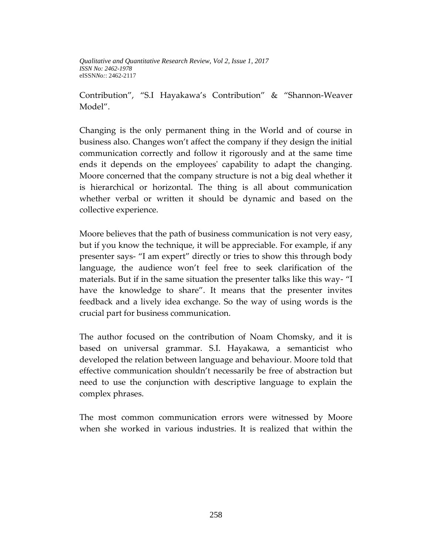Contribution", "S.I Hayakawa's Contribution" & "Shannon-Weaver Model".

Changing is the only permanent thing in the World and of course in business also. Changes won't affect the company if they design the initial communication correctly and follow it rigorously and at the same time ends it depends on the employees' capability to adapt the changing. Moore concerned that the company structure is not a big deal whether it is hierarchical or horizontal. The thing is all about communication whether verbal or written it should be dynamic and based on the collective experience.

Moore believes that the path of business communication is not very easy, but if you know the technique, it will be appreciable. For example, if any presenter says- "I am expert" directly or tries to show this through body language, the audience won't feel free to seek clarification of the materials. But if in the same situation the presenter talks like this way- "I have the knowledge to share". It means that the presenter invites feedback and a lively idea exchange. So the way of using words is the crucial part for business communication.

The author focused on the contribution of Noam Chomsky, and it is based on universal grammar. S.I. Hayakawa, a semanticist who developed the relation between language and behaviour. Moore told that effective communication shouldn't necessarily be free of abstraction but need to use the conjunction with descriptive language to explain the complex phrases.

The most common communication errors were witnessed by Moore when she worked in various industries. It is realized that within the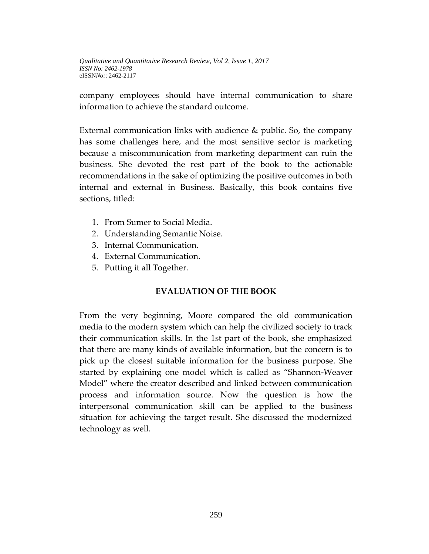company employees should have internal communication to share information to achieve the standard outcome.

External communication links with audience & public. So, the company has some challenges here, and the most sensitive sector is marketing because a miscommunication from marketing department can ruin the business. She devoted the rest part of the book to the actionable recommendations in the sake of optimizing the positive outcomes in both internal and external in Business. Basically, this book contains five sections, titled:

- 1. From Sumer to Social Media.
- 2. Understanding Semantic Noise.
- 3. Internal Communication.
- 4. External Communication.
- 5. Putting it all Together.

## **EVALUATION OF THE BOOK**

From the very beginning, Moore compared the old communication media to the modern system which can help the civilized society to track their communication skills. In the 1st part of the book, she emphasized that there are many kinds of available information, but the concern is to pick up the closest suitable information for the business purpose. She started by explaining one model which is called as "Shannon-Weaver Model" where the creator described and linked between communication process and information source. Now the question is how the interpersonal communication skill can be applied to the business situation for achieving the target result. She discussed the modernized technology as well.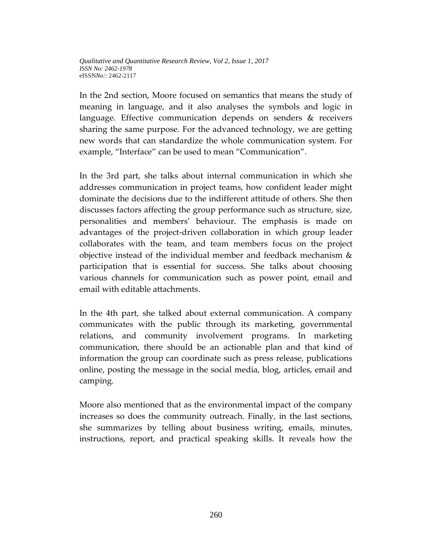In the 2nd section, Moore focused on semantics that means the study of meaning in language, and it also analyses the symbols and logic in language. Effective communication depends on senders & receivers sharing the same purpose. For the advanced technology, we are getting new words that can standardize the whole communication system. For example, "Interface" can be used to mean "Communication".

In the 3rd part, she talks about internal communication in which she addresses communication in project teams, how confident leader might dominate the decisions due to the indifferent attitude of others. She then discusses factors affecting the group performance such as structure, size, personalities and members' behaviour. The emphasis is made on advantages of the project-driven collaboration in which group leader collaborates with the team, and team members focus on the project objective instead of the individual member and feedback mechanism & participation that is essential for success. She talks about choosing various channels for communication such as power point, email and email with editable attachments.

In the 4th part, she talked about external communication. A company communicates with the public through its marketing, governmental relations, and community involvement programs. In marketing communication, there should be an actionable plan and that kind of information the group can coordinate such as press release, publications online, posting the message in the social media, blog, articles, email and camping.

Moore also mentioned that as the environmental impact of the company increases so does the community outreach. Finally, in the last sections, she summarizes by telling about business writing, emails, minutes, instructions, report, and practical speaking skills. It reveals how the